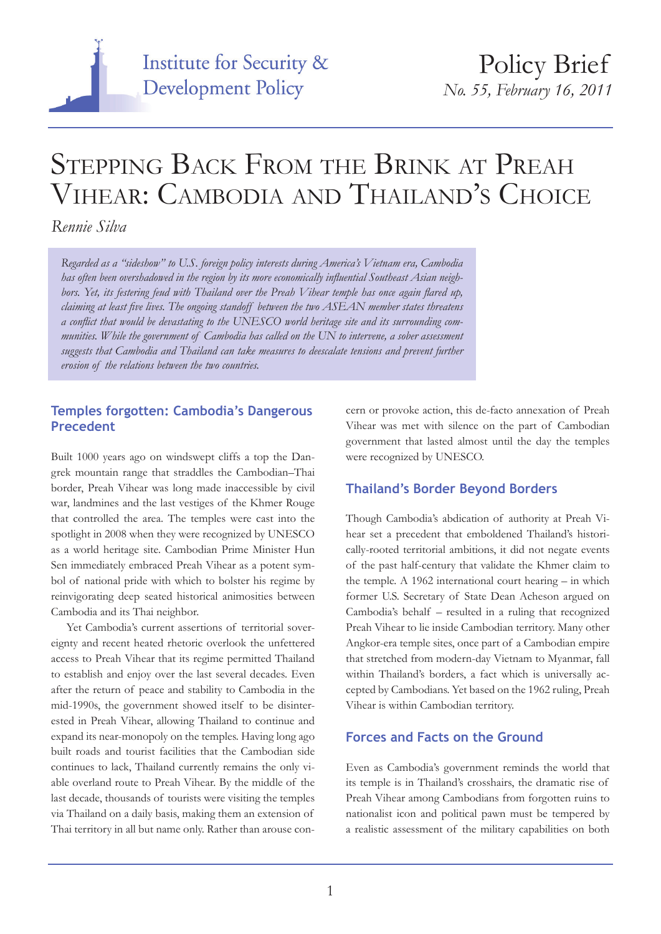

# STEPPING BACK FROM THE BRINK AT PREAH Vihear: Cambodia and Thailand's Choice

*Rennie Silva*

*Regarded as a "sideshow" to U.S. foreign policy interests during America's Vietnam era, Cambodia has often been overshadowed in the region by its more economically influential Southeast Asian neighbors. Yet, its festering feud with Thailand over the Preah Vihear temple has once again flared up, claiming at least five lives. The ongoing standoff between the two ASEAN member states threatens a conflict that would be devastating to the UNESCO world heritage site and its surrounding communities. While the government of Cambodia has called on the UN to intervene, a sober assessment suggests that Cambodia and Thailand can take measures to deescalate tensions and prevent further erosion of the relations between the two countries.*

#### **Temples forgotten: Cambodia's Dangerous Precedent**

Built 1000 years ago on windswept cliffs a top the Dangrek mountain range that straddles the Cambodian–Thai border, Preah Vihear was long made inaccessible by civil war, landmines and the last vestiges of the Khmer Rouge that controlled the area. The temples were cast into the spotlight in 2008 when they were recognized by UNESCO as a world heritage site. Cambodian Prime Minister Hun Sen immediately embraced Preah Vihear as a potent symbol of national pride with which to bolster his regime by reinvigorating deep seated historical animosities between Cambodia and its Thai neighbor.

Yet Cambodia's current assertions of territorial sovereignty and recent heated rhetoric overlook the unfettered access to Preah Vihear that its regime permitted Thailand to establish and enjoy over the last several decades. Even after the return of peace and stability to Cambodia in the mid-1990s, the government showed itself to be disinterested in Preah Vihear, allowing Thailand to continue and expand its near-monopoly on the temples. Having long ago built roads and tourist facilities that the Cambodian side continues to lack, Thailand currently remains the only viable overland route to Preah Vihear. By the middle of the last decade, thousands of tourists were visiting the temples via Thailand on a daily basis, making them an extension of Thai territory in all but name only. Rather than arouse concern or provoke action, this de-facto annexation of Preah Vihear was met with silence on the part of Cambodian government that lasted almost until the day the temples were recognized by UNESCO.

## **Thailand's Border Beyond Borders**

Though Cambodia's abdication of authority at Preah Vihear set a precedent that emboldened Thailand's historically-rooted territorial ambitions, it did not negate events of the past half-century that validate the Khmer claim to the temple. A 1962 international court hearing – in which former U.S. Secretary of State Dean Acheson argued on Cambodia's behalf – resulted in a ruling that recognized Preah Vihear to lie inside Cambodian territory. Many other Angkor-era temple sites, once part of a Cambodian empire that stretched from modern-day Vietnam to Myanmar, fall within Thailand's borders, a fact which is universally accepted by Cambodians. Yet based on the 1962 ruling, Preah Vihear is within Cambodian territory.

## **Forces and Facts on the Ground**

Even as Cambodia's government reminds the world that its temple is in Thailand's crosshairs, the dramatic rise of Preah Vihear among Cambodians from forgotten ruins to nationalist icon and political pawn must be tempered by a realistic assessment of the military capabilities on both